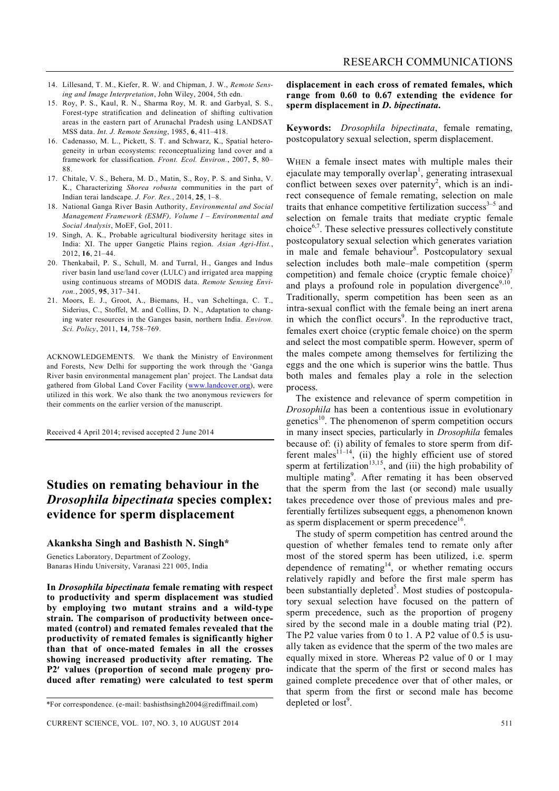- 14. Lillesand, T. M., Kiefer, R. W. and Chipman, J. W., *Remote Sensing and Image Interpretation*, John Wiley, 2004, 5th edn.
- 15. Roy, P. S., Kaul, R. N., Sharma Roy, M. R. and Garbyal, S. S., Forest-type stratification and delineation of shifting cultivation areas in the eastern part of Arunachal Pradesh using LANDSAT MSS data. *Int. J. Remote Sensing*, 1985, **6**, 411–418.
- 16. Cadenasso, M. L., Pickett, S. T. and Schwarz, K., Spatial heterogeneity in urban ecosystems: reconceptualizing land cover and a framework for classification. *Front. Ecol. Environ.*, 2007, **5**, 80– 88.
- 17. Chitale, V. S., Behera, M. D., Matin, S., Roy, P. S. and Sinha, V. K., Characterizing *Shorea robusta* communities in the part of Indian terai landscape. *J. For. Res.*, 2014, **25**, 1–8.
- 18. National Ganga River Basin Authority, *Environmental and Social Management Framework (ESMF), Volume I – Environmental and Social Analysis*, MoEF, GoI, 2011.
- 19. Singh, A. K., Probable agricultural biodiversity heritage sites in India: XI. The upper Gangetic Plains region. *Asian Agri-Hist.*, 2012, **16**, 21–44.
- 20. Thenkabail, P. S., Schull, M. and Turral, H., Ganges and Indus river basin land use/land cover (LULC) and irrigated area mapping using continuous streams of MODIS data. *Remote Sensing Environ.*, 2005, **95**, 317–341.
- 21. Moors, E. J., Groot, A., Biemans, H., van Scheltinga, C. T., Siderius, C., Stoffel, M. and Collins, D. N., Adaptation to changing water resources in the Ganges basin, northern India. *Environ. Sci. Policy*, 2011, **14**, 758–769.

ACKNOWLEDGEMENTS. We thank the Ministry of Environment and Forests, New Delhi for supporting the work through the 'Ganga River basin environmental management plan' project. The Landsat data gathered from Global Land Cover Facility (www.landcover.org), were utilized in this work. We also thank the two anonymous reviewers for their comments on the earlier version of the manuscript.

Received 4 April 2014; revised accepted 2 June 2014

## **Studies on remating behaviour in the**  *Drosophila bipectinata* **species complex: evidence for sperm displacement**

#### **Akanksha Singh and Bashisth N. Singh\***

Genetics Laboratory, Department of Zoology, Banaras Hindu University, Varanasi 221 005, India

**In** *Drosophila bipectinata* **female remating with respect to productivity and sperm displacement was studied by employing two mutant strains and a wild-type strain. The comparison of productivity between oncemated (control) and remated females revealed that the productivity of remated females is significantly higher than that of once-mated females in all the crosses showing increased productivity after remating. The P2 values (proportion of second male progeny produced after remating) were calculated to test sperm**  **displacement in each cross of remated females, which range from 0.60 to 0.67 extending the evidence for sperm displacement in** *D***.** *bipectinata***.**

**Keywords:** *Drosophila bipectinata*, female remating, postcopulatory sexual selection, sperm displacement.

WHEN a female insect mates with multiple males their ejaculate may temporally overlap<sup>1</sup>, generating intrasexual conflict between sexes over paternity<sup>2</sup>, which is an indirect consequence of female remating, selection on male traits that enhance competitive fertilization success $3-5$  and selection on female traits that mediate cryptic female choice $6,7$ . These selective pressures collectively constitute postcopulatory sexual selection which generates variation in male and female behaviour<sup>8</sup>. Postcopulatory sexual selection includes both male–male competition (sperm competition) and female choice (cryptic female choice)<sup>7</sup> and plays a profound role in population divergence<sup>9,10</sup>. Traditionally, sperm competition has been seen as an intra-sexual conflict with the female being an inert arena in which the conflict occurs<sup>9</sup>. In the reproductive tract, females exert choice (cryptic female choice) on the sperm and select the most compatible sperm. However, sperm of the males compete among themselves for fertilizing the eggs and the one which is superior wins the battle. Thus both males and females play a role in the selection process.

The existence and relevance of sperm competition in *Drosophila* has been a contentious issue in evolutionary genetics $10$ . The phenomenon of sperm competition occurs in many insect species, particularly in *Drosophila* females because of: (i) ability of females to store sperm from different males $^{11-14}$ , (ii) the highly efficient use of stored sperm at fertilization<sup>13,15</sup>, and (iii) the high probability of multiple mating<sup>9</sup>. After remating it has been observed that the sperm from the last (or second) male usually takes precedence over those of previous males and preferentially fertilizes subsequent eggs, a phenomenon known as sperm displacement or sperm precedence<sup>16</sup>.

The study of sperm competition has centred around the question of whether females tend to remate only after most of the stored sperm has been utilized, i.e. sperm dependence of remating<sup>14</sup>, or whether remating occurs relatively rapidly and before the first male sperm has been substantially depleted<sup>5</sup>. Most studies of postcopulatory sexual selection have focused on the pattern of sperm precedence, such as the proportion of progeny sired by the second male in a double mating trial (P2). The P2 value varies from 0 to 1. A P2 value of 0.5 is usually taken as evidence that the sperm of the two males are equally mixed in store. Whereas P2 value of 0 or 1 may indicate that the sperm of the first or second males has gained complete precedence over that of other males, or that sperm from the first or second male has become depleted or  $lost<sup>9</sup>$ .

<sup>\*</sup>For correspondence. (e-mail: bashisthsingh2004@rediffmail.com)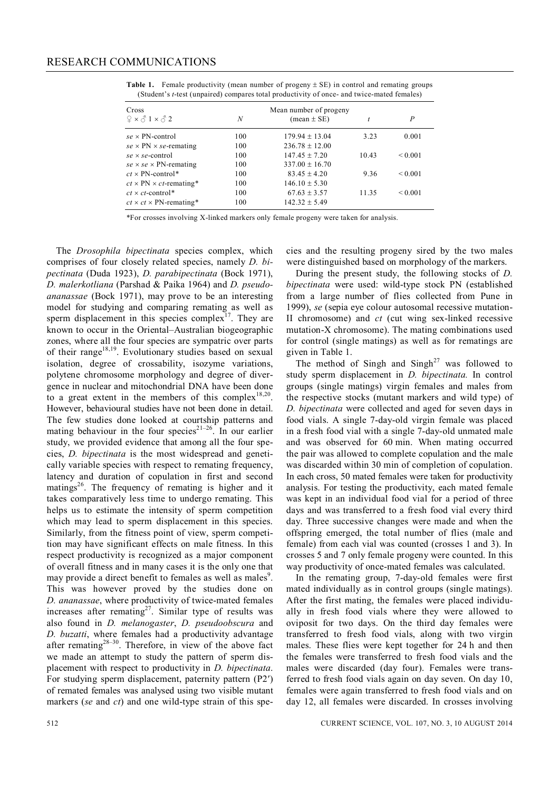**Table 1.** Female productivity (mean number of progeny  $\pm$  SE) in control and remating groups (Student's *t*-test (unpaired) compares total productivity of once- and twice-mated females)

| Cross                               |     |                               |       |              |
|-------------------------------------|-----|-------------------------------|-------|--------------|
| $2 \times 31 \times 32$             | N   | $(\text{mean} \pm \text{SE})$ |       | P            |
| $se \times PN$ -control             | 100 | $179.94 \pm 13.04$            | 3.23  | 0.001        |
| $se \times PN \times se$ -remating  | 100 | $236.78 \pm 12.00$            |       |              |
| $se \times se$ -control             | 100 | $147.45 + 7.20$               | 10.43 | < 0.001      |
| $se \times se \times PN$ -remating  | 100 | $337.00 + 16.70$              |       |              |
| $ct \times PN$ -control*            | 100 | $83.45 \pm 4.20$              | 9.36  | ${}_{0.001}$ |
| $ct \times PN \times ct$ -remating* | 100 | $146.10 \pm 5.30$             |       |              |
| $ct \times ct$ -control*            | 100 | $67.63 + 3.57$                | 11.35 | ${}_{0.001}$ |
| $ct \times ct \times PN$ -remating* | 100 | $142.32 \pm 5.49$             |       |              |

\*For crosses involving X-linked markers only female progeny were taken for analysis.

The *Drosophila bipectinata* species complex, which comprises of four closely related species, namely *D. bipectinata* (Duda 1923), *D. parabipectinata* (Bock 1971), *D. malerkotliana* (Parshad & Paika 1964) and *D. pseudoananassae* (Bock 1971), may prove to be an interesting model for studying and comparing remating as well as sperm displacement in this species complex<sup>17</sup>. They are known to occur in the Oriental–Australian biogeographic zones, where all the four species are sympatric over parts of their range<sup>18,19</sup>. Evolutionary studies based on sexual isolation, degree of crossability, isozyme variations, polytene chromosome morphology and degree of divergence in nuclear and mitochondrial DNA have been done to a great extent in the members of this complex<sup>18,20</sup>. However, behavioural studies have not been done in detail. The few studies done looked at courtship patterns and mating behaviour in the four species<sup> $21-26$ </sup>. In our earlier study, we provided evidence that among all the four species, *D. bipectinata* is the most widespread and genetically variable species with respect to remating frequency, latency and duration of copulation in first and second matings<sup>26</sup>. The frequency of remating is higher and it takes comparatively less time to undergo remating. This helps us to estimate the intensity of sperm competition which may lead to sperm displacement in this species. Similarly, from the fitness point of view, sperm competition may have significant effects on male fitness. In this respect productivity is recognized as a major component of overall fitness and in many cases it is the only one that may provide a direct benefit to females as well as males<sup>9</sup>. This was however proved by the studies done on *D. ananassae*, where productivity of twice-mated females increases after remating<sup>27</sup>. Similar type of results was also found in *D. melanogaster*, *D. pseudoobscura* and *D. buzatti*, where females had a productivity advantage after remating $28-30$ . Therefore, in view of the above fact we made an attempt to study the pattern of sperm displacement with respect to productivity in *D. bipectinata*. For studying sperm displacement, paternity pattern (P2) of remated females was analysed using two visible mutant markers (*se* and *ct*) and one wild-type strain of this species and the resulting progeny sired by the two males were distinguished based on morphology of the markers.

During the present study, the following stocks of *D. bipectinata* were used: wild-type stock PN (established from a large number of flies collected from Pune in 1999), *se* (sepia eye colour autosomal recessive mutation-II chromosome) and *ct* (cut wing sex-linked recessive mutation-X chromosome). The mating combinations used for control (single matings) as well as for rematings are given in Table 1.

The method of Singh and Singh<sup>27</sup> was followed to study sperm displacement in *D. bipectinata.* In control groups (single matings) virgin females and males from the respective stocks (mutant markers and wild type) of *D. bipectinata* were collected and aged for seven days in food vials. A single 7-day-old virgin female was placed in a fresh food vial with a single 7-day-old unmated male and was observed for 60 min. When mating occurred the pair was allowed to complete copulation and the male was discarded within 30 min of completion of copulation. In each cross, 50 mated females were taken for productivity analysis. For testing the productivity, each mated female was kept in an individual food vial for a period of three days and was transferred to a fresh food vial every third day. Three successive changes were made and when the offspring emerged, the total number of flies (male and female) from each vial was counted (crosses 1 and 3). In crosses 5 and 7 only female progeny were counted. In this way productivity of once-mated females was calculated.

In the remating group, 7-day-old females were first mated individually as in control groups (single matings). After the first mating, the females were placed individually in fresh food vials where they were allowed to oviposit for two days. On the third day females were transferred to fresh food vials, along with two virgin males. These flies were kept together for 24 h and then the females were transferred to fresh food vials and the males were discarded (day four). Females were transferred to fresh food vials again on day seven. On day 10, females were again transferred to fresh food vials and on day 12, all females were discarded. In crosses involving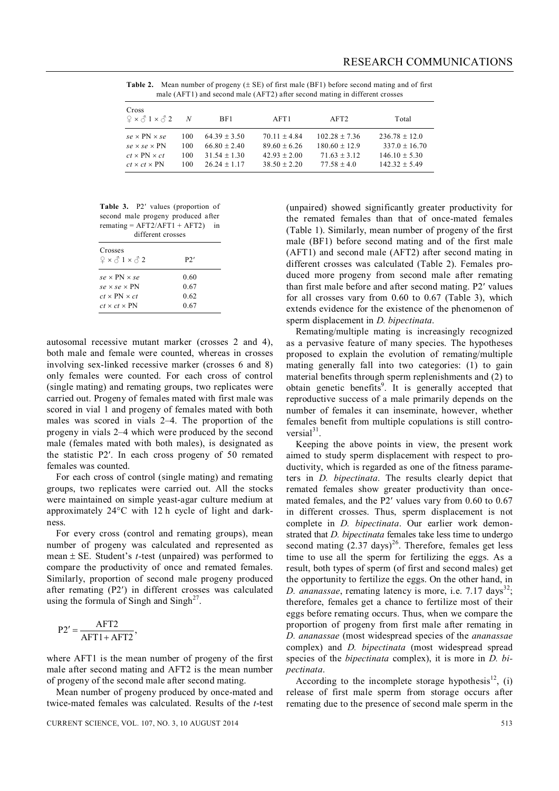**Table 2.** Mean number of progeny  $(\pm SE)$  of first male (BF1) before second mating and of first male (AFT1) and second male (AFT2) after second mating in different crosses

| Cross<br>$2 \times 21 \times 22$                                                 | N                 | BF1.                                               | AFT1                                               | AFT2                                                   | Total                                                 |
|----------------------------------------------------------------------------------|-------------------|----------------------------------------------------|----------------------------------------------------|--------------------------------------------------------|-------------------------------------------------------|
| $se \times PN \times se$<br>$se \times se \times PN$<br>$ct \times PN \times ct$ | 100<br>100<br>100 | $64.39 + 3.50$<br>$66.80 + 2.40$<br>$31.54 + 1.30$ | $70.11 + 4.84$<br>$89.60 + 6.26$<br>$42.93 + 2.00$ | $102.28 + 7.36$<br>$180.60 \pm 12.9$<br>$71.63 + 3.12$ | $236.78 + 12.0$<br>$337.0 + 16.70$<br>$146.10 + 5.30$ |
| $ct \times ct \times PN$                                                         | 100               | $26.24 + 1.17$                                     | $38.50 + 2.20$                                     | $77.58 + 4.0$                                          | $142.32 + 5.49$                                       |

Table 3. P2' values (proportion of second male progeny produced after  $remating = AFT2/AFT1 + AFT2$  in different crosses

| Crosses<br>$9 \times 31 \times 32$ | P2'  |
|------------------------------------|------|
| $se \times PN \times se$           | 0.60 |
| $se \times se \times PN$           | 0.67 |
| $ct \times PN \times ct$           | 0.62 |
| $ct \times ct \times PN$           | 0.67 |

autosomal recessive mutant marker (crosses 2 and 4), both male and female were counted, whereas in crosses involving sex-linked recessive marker (crosses 6 and 8) only females were counted. For each cross of control (single mating) and remating groups, two replicates were carried out. Progeny of females mated with first male was scored in vial 1 and progeny of females mated with both males was scored in vials 2–4. The proportion of the progeny in vials 2–4 which were produced by the second male (females mated with both males), is designated as the statistic P2. In each cross progeny of 50 remated females was counted.

For each cross of control (single mating) and remating groups, two replicates were carried out. All the stocks were maintained on simple yeast-agar culture medium at approximately  $24^{\circ}$ C with 12 h cycle of light and darkness.

For every cross (control and remating groups), mean number of progeny was calculated and represented as mean  $\pm$  SE. Student's *t*-test (unpaired) was performed to compare the productivity of once and remated females. Similarly, proportion of second male progeny produced after remating (P2) in different crosses was calculated using the formula of Singh and Singh<sup>27</sup>.

$$
P2' = \frac{AFT2}{AFT1 + AFT2},
$$

where AFT1 is the mean number of progeny of the first male after second mating and AFT2 is the mean number of progeny of the second male after second mating.

Mean number of progeny produced by once-mated and twice-mated females was calculated. Results of the *t*-test

(unpaired) showed significantly greater productivity for the remated females than that of once-mated females (Table 1). Similarly, mean number of progeny of the first male (BF1) before second mating and of the first male (AFT1) and second male (AFT2) after second mating in different crosses was calculated (Table 2). Females produced more progeny from second male after remating than first male before and after second mating. P2' values for all crosses vary from 0.60 to 0.67 (Table 3), which extends evidence for the existence of the phenomenon of sperm displacement in *D. bipectinata*.

Remating/multiple mating is increasingly recognized as a pervasive feature of many species. The hypotheses proposed to explain the evolution of remating/multiple mating generally fall into two categories: (1) to gain material benefits through sperm replenishments and (2) to obtain genetic benefits<sup>9</sup>. It is generally accepted that reproductive success of a male primarily depends on the number of females it can inseminate, however, whether females benefit from multiple copulations is still controversial $31$ .

Keeping the above points in view, the present work aimed to study sperm displacement with respect to productivity, which is regarded as one of the fitness parameters in *D. bipectinata*. The results clearly depict that remated females show greater productivity than oncemated females, and the  $P2'$  values vary from 0.60 to 0.67 in different crosses. Thus, sperm displacement is not complete in *D. bipectinata*. Our earlier work demonstrated that *D. bipectinata* females take less time to undergo second mating  $(2.37 \text{ days})^{26}$ . Therefore, females get less time to use all the sperm for fertilizing the eggs. As a result, both types of sperm (of first and second males) get the opportunity to fertilize the eggs. On the other hand, in *D. ananassae*, remating latency is more, i.e. 7.17 days<sup>32</sup>; therefore, females get a chance to fertilize most of their eggs before remating occurs. Thus, when we compare the proportion of progeny from first male after remating in *D. ananassae* (most widespread species of the *ananassae* complex) and *D. bipectinata* (most widespread spread species of the *bipectinata* complex), it is more in *D. bipectinata*.

According to the incomplete storage hypothesis<sup>12</sup>, (i) release of first male sperm from storage occurs after remating due to the presence of second male sperm in the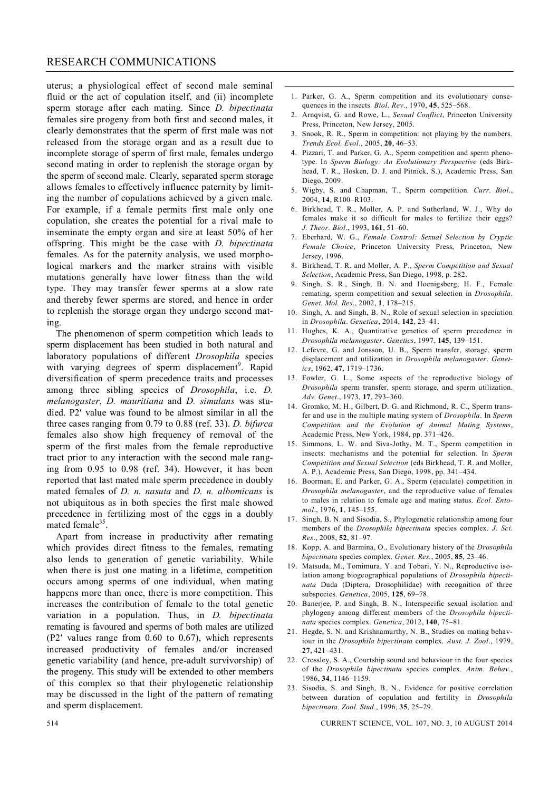#### RESEARCH COMMUNICATIONS

uterus; a physiological effect of second male seminal fluid or the act of copulation itself, and (ii) incomplete sperm storage after each mating. Since *D. bipectinata*  females sire progeny from both first and second males, it clearly demonstrates that the sperm of first male was not released from the storage organ and as a result due to incomplete storage of sperm of first male, females undergo second mating in order to replenish the storage organ by the sperm of second male. Clearly, separated sperm storage allows females to effectively influence paternity by limiting the number of copulations achieved by a given male. For example, if a female permits first male only one copulation, she creates the potential for a rival male to inseminate the empty organ and sire at least 50% of her offspring. This might be the case with *D. bipectinata*  females. As for the paternity analysis, we used morphological markers and the marker strains with visible mutations generally have lower fitness than the wild type. They may transfer fewer sperms at a slow rate and thereby fewer sperms are stored, and hence in order to replenish the storage organ they undergo second mating.

The phenomenon of sperm competition which leads to sperm displacement has been studied in both natural and laboratory populations of different *Drosophila* species with varying degrees of sperm displacement<sup>9</sup>. Rapid diversification of sperm precedence traits and processes among three sibling species of *Drosophila*, i.e. *D. melanogaster*, *D. mauritiana* and *D. simulans* was studied. P2' value was found to be almost similar in all the three cases ranging from 0.79 to 0.88 (ref. 33). *D. bifurca*  females also show high frequency of removal of the sperm of the first males from the female reproductive tract prior to any interaction with the second male ranging from 0.95 to 0.98 (ref. 34). However, it has been reported that last mated male sperm precedence in doubly mated females of *D. n. nasuta* and *D. n. albomicans* is not ubiquitous as in both species the first male showed precedence in fertilizing most of the eggs in a doubly mated female<sup>35</sup>.

Apart from increase in productivity after remating which provides direct fitness to the females, remating also lends to generation of genetic variability. While when there is just one mating in a lifetime, competition occurs among sperms of one individual, when mating happens more than once, there is more competition. This increases the contribution of female to the total genetic variation in a population. Thus, in *D. bipectinata*  remating is favoured and sperms of both males are utilized  $(P2'$  values range from 0.60 to 0.67), which represents increased productivity of females and/or increased genetic variability (and hence, pre-adult survivorship) of the progeny. This study will be extended to other members of this complex so that their phylogenetic relationship may be discussed in the light of the pattern of remating and sperm displacement.

- 1. Parker, G. A., Sperm competition and its evolutionary consequences in the insects. *Biol*. *Rev*., 1970, **45**, 525–568.
- 2. Arnqvist, G. and Rowe, L., *Sexual Conflict*, Princeton University Press, Princeton, New Jersey, 2005.
- 3. Snook, R. R., Sperm in competition: not playing by the numbers. *Trends Ecol. Evol*., 2005, **20**, 46–53.
- 4. Pizzari, T. and Parker, G. A., Sperm competition and sperm phenotype. In *Sperm Biology: An Evolutionary Perspective* (eds Birkhead, T. R., Hosken, D. J. and Pitnick, S.), Academic Press, San Diego, 2009.
- 5. Wigby, S. and Chapman, T., Sperm competition. *Curr. Biol*., 2004, **14**, R100–R103.
- 6. Birkhead, T. R., Moller, A. P. and Sutherland, W. J., Why do females make it so difficult for males to fertilize their eggs? *J. Theor. Biol*., 1993, **161**, 51–60.
- 7. Eberhard, W. G., *Female Control: Sexual Selection by Cryptic Female Choice*, Princeton University Press, Princeton, New Jersey, 1996.
- 8. Birkhead, T. R. and Moller, A. P., *Sperm Competition and Sexual Selection*, Academic Press, San Diego, 1998, p. 282.
- 9. Singh, S. R., Singh, B. N. and Hoenigsberg, H. F., Female remating, sperm competition and sexual selection in *Drosophila*. *Genet. Mol. Res*., 2002, **1**, 178–215.
- 10. Singh, A. and Singh, B. N., Role of sexual selection in speciation in *Drosophila*. *Genetica*, 2014, **142**, 23–41.
- 11. Hughes, K. A., Quantitative genetics of sperm precedence in *Drosophila melanogaster*. *Genetics*, 1997, **145**, 139–151.
- 12. Lefevre, G. and Jonsson, U. B., Sperm transfer, storage, sperm displacement and utilization in *Drosophila melanogaster*. *Genetics*, 1962, **47**, 1719–1736.
- 13. Fowler, G. L., Some aspects of the reproductive biology of *Drosophila* sperm transfer, sperm storage, and sperm utilization. *Adv. Genet*., 1973, **17**, 293–360.
- 14. Gromko, M. H., Gilbert, D. G. and Richmond, R. C., Sperm transfer and use in the multiple mating system of *Drosophila*. In *Sperm Competition and the Evolution of Animal Mating Systems*, Academic Press, New York, 1984, pp. 371–426.
- 15. Simmons, L. W. and Siva-Jothy, M. T., Sperm competition in insects: mechanisms and the potential for selection. In *Sperm Competition and Sexual Selection* (eds Birkhead, T. R. and Moller, A. P.), Academic Press, San Diego, 1998, pp. 341–434.
- 16. Boorman, E. and Parker, G. A., Sperm (ejaculate) competition in *Drosophila melanogaster*, and the reproductive value of females to males in relation to female age and mating status. *Ecol. Entomol*., 1976, **1**, 145–155.
- 17. Singh, B. N. and Sisodia, S., Phylogenetic relationship among four members of the *Drosophila bipectinata* species complex. *J. Sci. Res*., 2008, **52**, 81–97*.*
- 18. Kopp, A. and Barmina, O., Evolutionary history of the *Drosophila bipectinata* species complex. *Genet. Res.*, 2005, **85**, 23–46.
- 19. Matsuda, M., Tomimura, Y. and Tobari, Y. N., Reproductive isolation among biogeographical populations of *Drosophila bipectinata* Duda (Diptera, Drosophilidae) with recognition of three subspecies. *Genetica*, 2005, **125**, 69–78.
- 20. Banerjee, P. and Singh, B. N., Interspecific sexual isolation and phylogeny among different members of the *Drosophila bipectinata* species complex. *Genetica*, 2012, **140**, 75–81.
- 21. Hegde, S. N. and Krishnamurthy, N. B., Studies on mating behaviour in the *Drosophila bipectinata* complex. *Aust. J. Zool*., 1979, **27**, 421–431.
- 22. Crossley, S. A., Courtship sound and behaviour in the four species of the *Drosophila bipectinata* species complex. *Anim. Behav*., 1986, **34**, 1146–1159.
- 23. Sisodia, S. and Singh, B. N., Evidence for positive correlation between duration of copulation and fertility in *Drosophila bipectinata*. *Zool. Stud*., 1996, **35**, 25–29.

514 CURRENT SCIENCE, VOL. 107, NO. 3, 10 AUGUST 2014